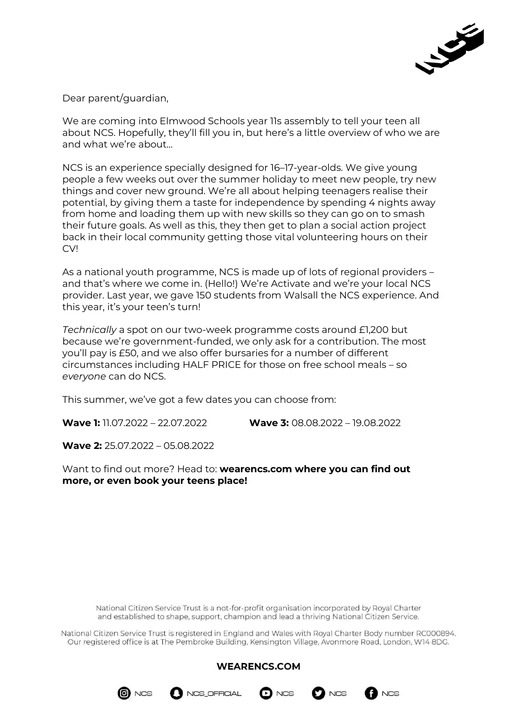

Dear parent/guardian,

We are coming into Elmwood Schools year 11s assembly to tell your teen all about NCS. Hopefully, they'll fill you in, but here's a little overview of who we are and what we're about…

NCS is an experience specially designed for 16–17-year-olds. We give young people a few weeks out over the summer holiday to meet new people, try new things and cover new ground. We're all about helping teenagers realise their potential, by giving them a taste for independence by spending 4 nights away from home and loading them up with new skills so they can go on to smash their future goals. As well as this, they then get to plan a social action project back in their local community getting those vital volunteering hours on their CV!

As a national youth programme, NCS is made up of lots of regional providers – and that's where we come in. (Hello!) We're Activate and we're your local NCS provider. Last year, we gave 150 students from Walsall the NCS experience. And this year, it's your teen's turn!

*Technically* a spot on our two-week programme costs around £1,200 but because we're government-funded, we only ask for a contribution. The most you'll pay is £50, and we also offer bursaries for a number of different circumstances including HALF PRICE for those on free school meals – so *everyone* can do NCS.

This summer, we've got a few dates you can choose from:

**Wave 1:** 11.07.2022 – 22.07.2022 **Wave 3:** 08.08.2022 – 19.08.2022

**Wave 2:** 25.07.2022 – 05.08.2022

Want to find out more? Head to: **wearencs.com where you can find out more, or even book your teens place!** 

National Citizen Service Trust is a not-for-profit organisation incorporated by Royal Charter and established to shape, support, champion and lead a thriving National Citizen Service.

National Citizen Service Trust is registered in England and Wales with Royal Charter Body number RC000894. Our registered office is at The Pembroke Building, Kensington Village, Avonmore Road, London, W14 8DG.

## **WEARENCS.COM**







**NCS**